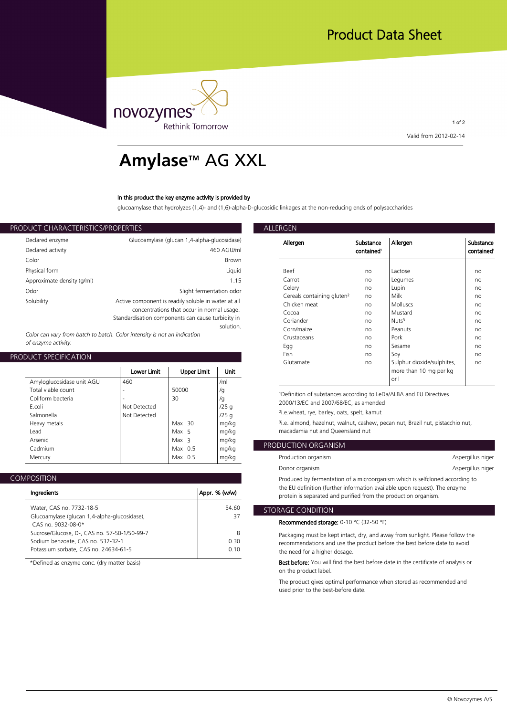

1 of 2 **Valid from 2012-02-14**

# **Amylase**™ AG XXL

# **In this product the key enzyme activity is provided by**

**glucoamylase that hydrolyzes (1,4)- and (1,6)-alpha-D-glucosidic linkages at the non-reducing ends of polysaccharides**

| ALLERGEN           | PRODUCT CHARACTERISTICS/PROPERTIES                             |                            |  |
|--------------------|----------------------------------------------------------------|----------------------------|--|
| Allergen           | Glucoamylase (glucan 1,4-alpha-glucosidase)                    | Declared enzyme            |  |
|                    | 460 AGU/ml                                                     | Declared activity          |  |
|                    | <b>Brown</b>                                                   | Color                      |  |
| <b>Beef</b>        | Liquid                                                         | Physical form              |  |
| Carrot             | 1.15                                                           | Approximate density (g/ml) |  |
| Celery<br>Cereals  | Slight fermentation odor                                       | Odor                       |  |
| Chicken            | Active component is readily soluble in water at all            | Solubility                 |  |
| Cocoa              | concentrations that occur in normal usage.                     |                            |  |
| Coriand            | Standardisation components can cause turbidity in<br>solution. |                            |  |
| $C_{\alpha r n/m}$ |                                                                |                            |  |

*Color can vary from batch to batch. Color intensity is not an indication of enzyme activity.*

# **PRODUCT SPECIFICATION**

|                           |              |                    |       | Gluta                 |
|---------------------------|--------------|--------------------|-------|-----------------------|
|                           | Lower Limit  | <b>Upper Limit</b> | Unit  |                       |
| Amyloglucosidase unit AGU | 460          |                    | /ml   |                       |
| Total viable count        | ۰            | 50000              | /g    | <sup>1</sup> Definit  |
| Coliform bacteria         |              | 30                 | /g    | 2000/1                |
| F.coli                    | Not Detected |                    | /25q  |                       |
| Salmonella                | Not Detected |                    | /25q  | $2i.e.$ whe           |
| Heavy metals              |              | $Max$ 30           | mg/kg | <sup>3</sup> i.e. alm |
| Lead                      |              | Max 5              | mg/kg | macada                |
| Arsenic                   |              | Max <sub>3</sub>   | mg/kg |                       |
| Cadmium                   |              | Max $0.5$          | mg/kg | <b>PRODUCTI</b>       |
| Mercury                   |              | Max $0.5$          | mg/kg | Product               |
|                           |              |                    |       |                       |

| Ingredients                                                                                                                | Appr. % (w/w)     | the EU de<br>protein is         |
|----------------------------------------------------------------------------------------------------------------------------|-------------------|---------------------------------|
| Water, CAS no. 7732-18-5                                                                                                   | 54.60             | <b>STORAGE C</b>                |
| Glucoamylase (glucan 1,4-alpha-glucosidase),<br>CAS no. 9032-08-0*                                                         | 37                | Recommo                         |
| Sucrose/Glucose, D-, CAS no. 57-50-1/50-99-7<br>Sodium benzoate, CAS no. 532-32-1<br>Potassium sorbate, CAS no. 24634-61-5 | 8<br>0.30<br>0.10 | Packagin<br>recomme<br>the need |

**\*Defined as enzyme conc. (dry matter basis)**

| Allergen                               | Substance<br>contained <sup>1</sup> | Allergen                                                     | Substance<br>contained <sup>1</sup> |
|----------------------------------------|-------------------------------------|--------------------------------------------------------------|-------------------------------------|
|                                        |                                     |                                                              |                                     |
| Beef                                   | no                                  | Lactose                                                      | no                                  |
| Carrot                                 | no                                  | Legumes                                                      | no                                  |
| Celery                                 | no                                  | Lupin                                                        | no                                  |
| Cereals containing gluten <sup>2</sup> | no                                  | Milk                                                         | no                                  |
| Chicken meat                           | no                                  | Molluscs                                                     | no                                  |
| Cocoa                                  | no                                  | Mustard                                                      | no                                  |
| Coriander                              | no                                  | Nuts <sup>3</sup>                                            | no                                  |
| Corn/maize                             | no                                  | Peanuts                                                      | no                                  |
| Crustaceans                            | no                                  | Pork                                                         | no                                  |
| Egg                                    | no                                  | Sesame                                                       | no                                  |
| Fish                                   | no                                  | Soy                                                          | no                                  |
| Glutamate                              | no                                  | Sulphur dioxide/sulphites,<br>more than 10 mg per kg<br>or I | no                                  |

<sup>1</sup>Definition of substances according to LeDa/ALBA and EU Directives **2000/13/EC and 2007/68/EC, as amended**

**/25 g ²i.e.wheat, rye, barley, oats, spelt, kamut**

**mg/kg ³i.e. almond, hazelnut, walnut, cashew, pecan nut, Brazil nut, pistacchio nut, mg/kg macadamia nut and Queensland nut**

| PRODUCTION ORGANISM                                                          |                   |  |
|------------------------------------------------------------------------------|-------------------|--|
| Production organism                                                          | Aspergillus niger |  |
| Donor organism                                                               | Aspergillus niger |  |
| Produced by fermentation of a microorganism which is selfcloned according to |                   |  |
| the EU definition (further information available upon request). The enzyme   |                   |  |

**protein is separated and purified from the production organism.**

# **54.60** STORAGE CONDITION

**Recommended storage: 0-10 °C (32-50 °F)**

**8 Packaging must be kept intact, dry, and away from sunlight. Please follow the 0.30 recommendations and use the product before the best before date to avoid 0.10 the need for a higher dosage.**

> **Best before: You will find the best before date in the certificate of analysis or on the product label.**

**The product gives optimal performance when stored as recommended and used prior to the best-before date.**